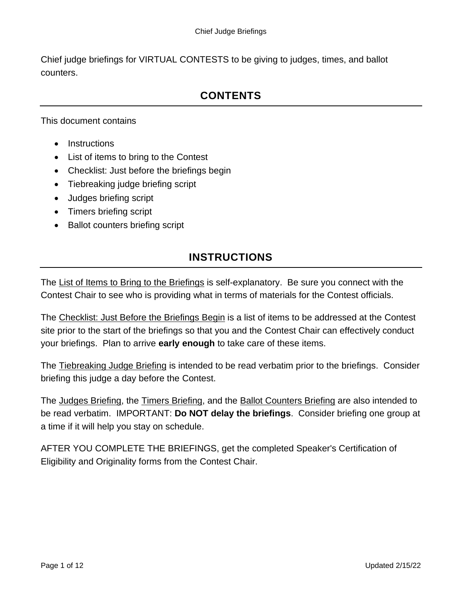Chief judge briefings for VIRTUAL CONTESTS to be giving to judges, times, and ballot counters.

## **CONTENTS**

This document contains

- Instructions
- List of items to bring to the Contest
- Checklist: Just before the briefings begin
- Tiebreaking judge briefing script
- Judges briefing script
- Timers briefing script
- Ballot counters briefing script

### **INSTRUCTIONS**

The List of Items to Bring to the Briefings is self-explanatory. Be sure you connect with the Contest Chair to see who is providing what in terms of materials for the Contest officials.

The Checklist: Just Before the Briefings Begin is a list of items to be addressed at the Contest site prior to the start of the briefings so that you and the Contest Chair can effectively conduct your briefings. Plan to arrive **early enough** to take care of these items.

The Tiebreaking Judge Briefing is intended to be read verbatim prior to the briefings. Consider briefing this judge a day before the Contest.

The Judges Briefing, the Timers Briefing, and the Ballot Counters Briefing are also intended to be read verbatim. IMPORTANT: **Do NOT delay the briefings**. Consider briefing one group at a time if it will help you stay on schedule.

AFTER YOU COMPLETE THE BRIEFINGS, get the completed Speaker's Certification of Eligibility and Originality forms from the Contest Chair.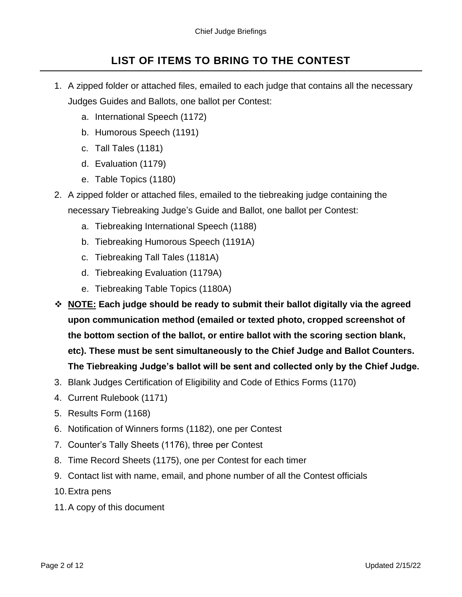### **LIST OF ITEMS TO BRING TO THE CONTEST**

- 1. A zipped folder or attached files, emailed to each judge that contains all the necessary Judges Guides and Ballots, one ballot per Contest:
	- a. International Speech (1172)
	- b. Humorous Speech (1191)
	- c. Tall Tales (1181)
	- d. Evaluation (1179)
	- e. Table Topics (1180)
- 2. A zipped folder or attached files, emailed to the tiebreaking judge containing the necessary Tiebreaking Judge's Guide and Ballot, one ballot per Contest:
	- a. Tiebreaking International Speech (1188)
	- b. Tiebreaking Humorous Speech (1191A)
	- c. Tiebreaking Tall Tales (1181A)
	- d. Tiebreaking Evaluation (1179A)
	- e. Tiebreaking Table Topics (1180A)
- ❖ **NOTE: Each judge should be ready to submit their ballot digitally via the agreed upon communication method (emailed or texted photo, cropped screenshot of the bottom section of the ballot, or entire ballot with the scoring section blank, etc). These must be sent simultaneously to the Chief Judge and Ballot Counters. The Tiebreaking Judge's ballot will be sent and collected only by the Chief Judge.**
- 3. Blank Judges Certification of Eligibility and Code of Ethics Forms (1170)
- 4. Current Rulebook (1171)
- 5. Results Form (1168)
- 6. Notification of Winners forms (1182), one per Contest
- 7. Counter's Tally Sheets (1176), three per Contest
- 8. Time Record Sheets (1175), one per Contest for each timer
- 9. Contact list with name, email, and phone number of all the Contest officials
- 10.Extra pens
- 11.A copy of this document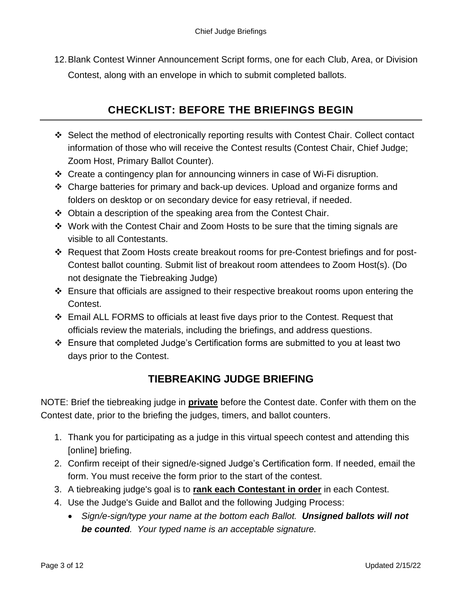12.Blank Contest Winner Announcement Script forms, one for each Club, Area, or Division Contest, along with an envelope in which to submit completed ballots.

## **CHECKLIST: BEFORE THE BRIEFINGS BEGIN**

- ❖ Select the method of electronically reporting results with Contest Chair. Collect contact information of those who will receive the Contest results (Contest Chair, Chief Judge; Zoom Host, Primary Ballot Counter).
- ❖ Create a contingency plan for announcing winners in case of Wi-Fi disruption.
- ❖ Charge batteries for primary and back-up devices. Upload and organize forms and folders on desktop or on secondary device for easy retrieval, if needed.
- ❖ Obtain a description of the speaking area from the Contest Chair.
- ❖ Work with the Contest Chair and Zoom Hosts to be sure that the timing signals are visible to all Contestants.
- ❖ Request that Zoom Hosts create breakout rooms for pre-Contest briefings and for post-Contest ballot counting. Submit list of breakout room attendees to Zoom Host(s). (Do not designate the Tiebreaking Judge)
- ❖ Ensure that officials are assigned to their respective breakout rooms upon entering the Contest.
- ❖ Email ALL FORMS to officials at least five days prior to the Contest. Request that officials review the materials, including the briefings, and address questions.
- ❖ Ensure that completed Judge's Certification forms are submitted to you at least two days prior to the Contest.

### **TIEBREAKING JUDGE BRIEFING**

NOTE: Brief the tiebreaking judge in **private** before the Contest date. Confer with them on the Contest date, prior to the briefing the judges, timers, and ballot counters.

- 1. Thank you for participating as a judge in this virtual speech contest and attending this [online] briefing.
- 2. Confirm receipt of their signed/e-signed Judge's Certification form. If needed, email the form. You must receive the form prior to the start of the contest.
- 3. A tiebreaking judge's goal is to **rank each Contestant in order** in each Contest.
- 4. Use the Judge's Guide and Ballot and the following Judging Process:
	- *Sign/e-sign/type your name at the bottom each Ballot. Unsigned ballots will not be counted. Your typed name is an acceptable signature.*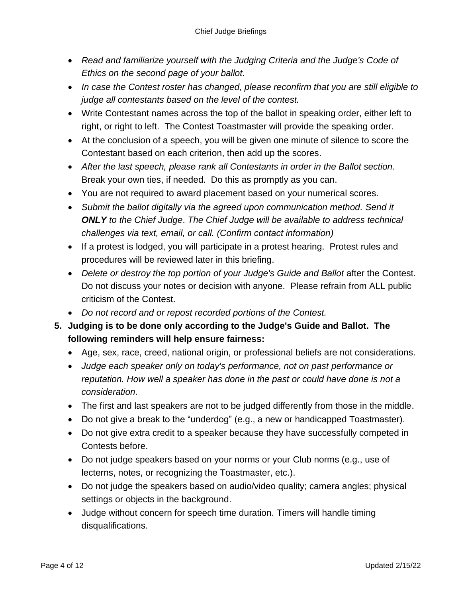- *Read and familiarize yourself with the Judging Criteria and the Judge's Code of Ethics on the second page of your ballot.*
- *In case the Contest roster has changed, please reconfirm that you are still eligible to judge all contestants based on the level of the contest.*
- Write Contestant names across the top of the ballot in speaking order, either left to right, or right to left. The Contest Toastmaster will provide the speaking order.
- At the conclusion of a speech, you will be given one minute of silence to score the Contestant based on each criterion, then add up the scores.
- *After the last speech, please rank all Contestants in order in the Ballot section*. Break your own ties, if needed. Do this as promptly as you can.
- You are not required to award placement based on your numerical scores.
- *Submit the ballot digitally via the agreed upon communication method. Send it ONLY to the Chief Judge*. *The Chief Judge will be available to address technical challenges via text, email, or call. (Confirm contact information)*
- If a protest is lodged, you will participate in a protest hearing. Protest rules and procedures will be reviewed later in this briefing.
- *Delete or destroy the top portion of your Judge's Guide and Ballot* after the Contest. Do not discuss your notes or decision with anyone. Please refrain from ALL public criticism of the Contest.
- *Do not record and or repost recorded portions of the Contest.*
- **5. Judging is to be done only according to the Judge's Guide and Ballot. The following reminders will help ensure fairness:**
	- Age, sex, race, creed, national origin, or professional beliefs are not considerations.
	- *Judge each speaker only on today's performance, not on past performance or reputation. How well a speaker has done in the past or could have done is not a consideration.*
	- The first and last speakers are not to be judged differently from those in the middle.
	- Do not give a break to the "underdog" (e.g., a new or handicapped Toastmaster).
	- Do not give extra credit to a speaker because they have successfully competed in Contests before.
	- Do not judge speakers based on your norms or your Club norms (e.g., use of lecterns, notes, or recognizing the Toastmaster, etc.).
	- Do not judge the speakers based on audio/video quality; camera angles; physical settings or objects in the background.
	- Judge without concern for speech time duration. Timers will handle timing disqualifications.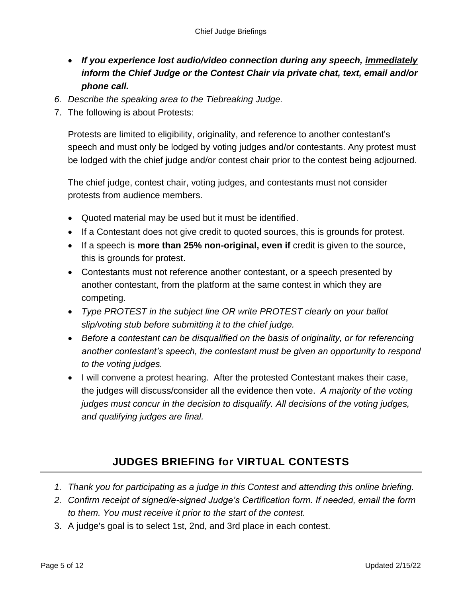- *If you experience lost audio/video connection during any speech, immediately inform the Chief Judge or the Contest Chair via private chat, text, email and/or phone call.*
- *6. Describe the speaking area to the Tiebreaking Judge.*
- 7. The following is about Protests:

Protests are limited to eligibility, originality, and reference to another contestant's speech and must only be lodged by voting judges and/or contestants. Any protest must be lodged with the chief judge and/or contest chair prior to the contest being adjourned.

The chief judge, contest chair, voting judges, and contestants must not consider protests from audience members.

- Quoted material may be used but it must be identified.
- If a Contestant does not give credit to quoted sources, this is grounds for protest.
- If a speech is **more than 25% non-original, even if** credit is given to the source, this is grounds for protest.
- Contestants must not reference another contestant, or a speech presented by another contestant, from the platform at the same contest in which they are competing.
- *Type PROTEST in the subject line OR write PROTEST clearly on your ballot slip/voting stub before submitting it to the chief judge.*
- Before a contestant can be disqualified on the basis of *originality, or for referencing another contestant's speech, the contestant must be given an opportunity to respond to the voting judges.*
- I will convene a protest hearing. After the protested Contestant makes their case, the judges will discuss/consider all the evidence then vote. *A majority of the voting judges must concur in the decision to disqualify. All decisions of the voting judges, and qualifying judges are final.*

# **JUDGES BRIEFING for VIRTUAL CONTESTS**

- *1. Thank you for participating as a judge in this Contest and attending this online briefing.*
- *2. Confirm receipt of signed/e-signed Judge's Certification form. If needed, email the form to them. You must receive it prior to the start of the contest.*
- 3. A judge's goal is to select 1st, 2nd, and 3rd place in each contest.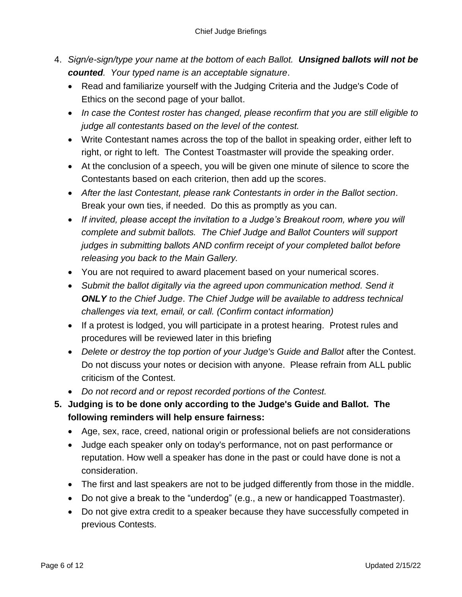- 4. *Sign/e-sign/type your name at the bottom of each Ballot. Unsigned ballots will not be counted. Your typed name is an acceptable signature*.
	- Read and familiarize yourself with the Judging Criteria and the Judge's Code of Ethics on the second page of your ballot.
	- *In case the Contest roster has changed, please reconfirm that you are still eligible to judge all contestants based on the level of the contest.*
	- Write Contestant names across the top of the ballot in speaking order, either left to right, or right to left. The Contest Toastmaster will provide the speaking order.
	- At the conclusion of a speech, you will be given one minute of silence to score the Contestants based on each criterion, then add up the scores.
	- *After the last Contestant, please rank Contestants in order in the Ballot section*. Break your own ties, if needed. Do this as promptly as you can.
	- *If invited, please accept the invitation to a Judge's Breakout room, where you will complete and submit ballots. The Chief Judge and Ballot Counters will support judges in submitting ballots AND confirm receipt of your completed ballot before releasing you back to the Main Gallery.*
	- You are not required to award placement based on your numerical scores.
	- *Submit the ballot digitally via the agreed upon communication method. Send it ONLY to the Chief Judge*. *The Chief Judge will be available to address technical challenges via text, email, or call. (Confirm contact information)*
	- If a protest is lodged, you will participate in a protest hearing. Protest rules and procedures will be reviewed later in this briefing
	- Delete or destroy the top portion of your Judge's Guide and Ballot after the Contest. Do not discuss your notes or decision with anyone. Please refrain from ALL public criticism of the Contest.
	- *Do not record and or repost recorded portions of the Contest.*
- **5. Judging is to be done only according to the Judge's Guide and Ballot. The following reminders will help ensure fairness:**
	- Age, sex, race, creed, national origin or professional beliefs are not considerations
	- Judge each speaker only on today's performance, not on past performance or reputation. How well a speaker has done in the past or could have done is not a consideration.
	- The first and last speakers are not to be judged differently from those in the middle.
	- Do not give a break to the "underdog" (e.g., a new or handicapped Toastmaster).
	- Do not give extra credit to a speaker because they have successfully competed in previous Contests.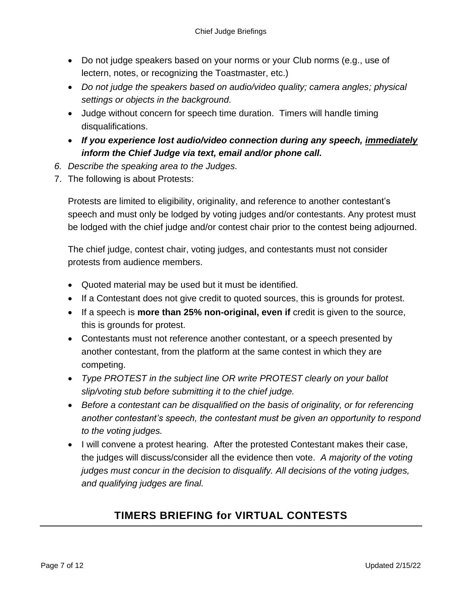- Do not judge speakers based on your norms or your Club norms (e.g., use of lectern, notes, or recognizing the Toastmaster, etc.)
- *Do not judge the speakers based on audio/video quality; camera angles; physical settings or objects in the background.*
- Judge without concern for speech time duration. Timers will handle timing disqualifications.
- *If you experience lost audio/video connection during any speech, immediately inform the Chief Judge via text, email and/or phone call.*
- *6. Describe the speaking area to the Judges.*
- 7. The following is about Protests:

Protests are limited to eligibility, originality, and reference to another contestant's speech and must only be lodged by voting judges and/or contestants. Any protest must be lodged with the chief judge and/or contest chair prior to the contest being adjourned.

The chief judge, contest chair, voting judges, and contestants must not consider protests from audience members.

- Quoted material may be used but it must be identified.
- If a Contestant does not give credit to quoted sources, this is grounds for protest.
- If a speech is **more than 25% non-original, even if** credit is given to the source, this is grounds for protest.
- Contestants must not reference another contestant, or a speech presented by another contestant, from the platform at the same contest in which they are competing.
- *Type PROTEST in the subject line OR write PROTEST clearly on your ballot slip/voting stub before submitting it to the chief judge.*
- *Before a contestant can be disqualified on the basis of originality, or for referencing another contestant's speech, the contestant must be given an opportunity to respond to the voting judges.*
- I will convene a protest hearing. After the protested Contestant makes their case, the judges will discuss/consider all the evidence then vote. *A majority of the voting judges must concur in the decision to disqualify. All decisions of the voting judges, and qualifying judges are final.*

# **TIMERS BRIEFING for VIRTUAL CONTESTS**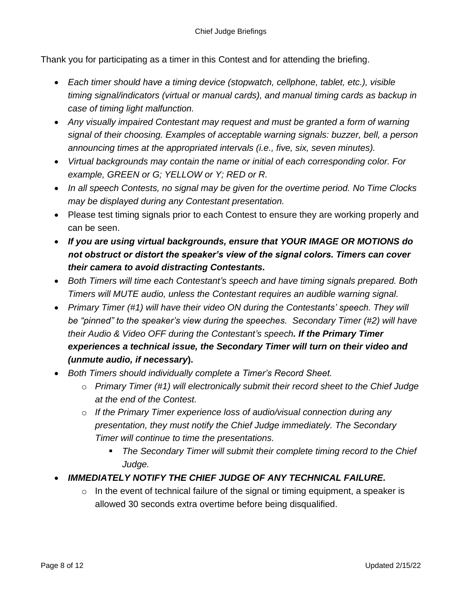Thank you for participating as a timer in this Contest and for attending the briefing.

- *Each timer should have a timing device (stopwatch, cellphone, tablet, etc.), visible timing signal/indicators (virtual or manual cards), and manual timing cards as backup in case of timing light malfunction.*
- *Any visually impaired Contestant may request and must be granted a form of warning signal of their choosing. Examples of acceptable warning signals: buzzer, bell, a person announcing times at the appropriated intervals (i.e., five, six, seven minutes).*
- *Virtual backgrounds may contain the name or initial of each corresponding color. For example, GREEN or G; YELLOW or Y; RED or R.*
- *In all speech Contests, no signal may be given for the overtime period. No Time Clocks may be displayed during any Contestant presentation.*
- Please test timing signals prior to each Contest to ensure they are working properly and can be seen.
- *If you are using virtual backgrounds, ensure that YOUR IMAGE OR MOTIONS do not obstruct or distort the speaker's view of the signal colors. Timers can cover their camera to avoid distracting Contestants.*
- *Both Timers will time each Contestant's speech and have timing signals prepared. Both Timers will MUTE audio, unless the Contestant requires an audible warning signal.*
- *Primary Timer (#1) will have their video ON during the Contestants' speech. They will be "pinned" to the speaker's view during the speeches. Secondary Timer (#2) will have their Audio & Video OFF during the Contestant's speech. If the Primary Timer experiences a technical issue, the Secondary Timer will turn on their video and (unmute audio, if necessary***).**
- *Both Timers should individually complete a Timer's Record Sheet.*
	- o *Primary Timer (#1) will electronically submit their record sheet to the Chief Judge at the end of the Contest.*
	- o *If the Primary Timer experience loss of audio/visual connection during any presentation, they must notify the Chief Judge immediately. The Secondary Timer will continue to time the presentations.*
		- *The Secondary Timer will submit their complete timing record to the Chief Judge.*
- *IMMEDIATELY NOTIFY THE CHIEF JUDGE OF ANY TECHNICAL FAILURE.*
	- $\circ$  In the event of technical failure of the signal or timing equipment, a speaker is allowed 30 seconds extra overtime before being disqualified.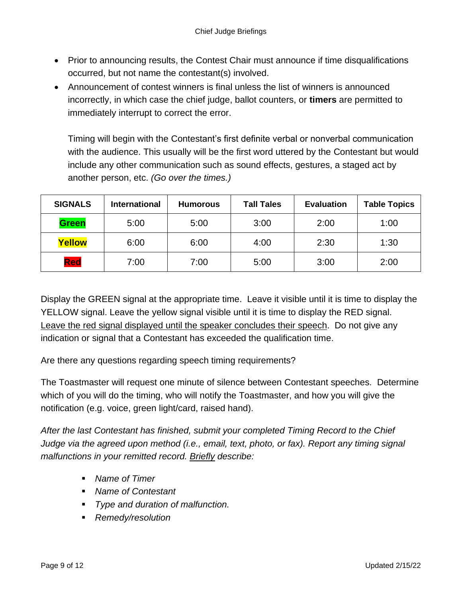- Prior to announcing results, the Contest Chair must announce if time disqualifications occurred, but not name the contestant(s) involved.
- Announcement of contest winners is final unless the list of winners is announced incorrectly, in which case the chief judge, ballot counters, or **timers** are permitted to immediately interrupt to correct the error.

Timing will begin with the Contestant's first definite verbal or nonverbal communication with the audience. This usually will be the first word uttered by the Contestant but would include any other communication such as sound effects, gestures, a staged act by another person, etc. *(Go over the times.)*

| <b>SIGNALS</b> | <b>International</b> | <b>Humorous</b> | <b>Tall Tales</b> | <b>Evaluation</b> | <b>Table Topics</b> |
|----------------|----------------------|-----------------|-------------------|-------------------|---------------------|
| <b>Green</b>   | 5:00                 | 5:00            | 3:00              | 2:00              | 1:00                |
| Yellow         | 6:00                 | 6:00            | 4:00              | 2:30              | 1:30                |
| Red            | 7:00                 | 7:00            | 5:00              | 3:00              | 2:00                |

Display the GREEN signal at the appropriate time. Leave it visible until it is time to display the YELLOW signal. Leave the yellow signal visible until it is time to display the RED signal. Leave the red signal displayed until the speaker concludes their speech. Do not give any indication or signal that a Contestant has exceeded the qualification time.

Are there any questions regarding speech timing requirements?

The Toastmaster will request one minute of silence between Contestant speeches. Determine which of you will do the timing, who will notify the Toastmaster, and how you will give the notification (e.g. voice, green light/card, raised hand).

*After the last Contestant has finished, submit your completed Timing Record to the Chief Judge via the agreed upon method (i.e., email, text, photo, or fax). Report any timing signal malfunctions in your remitted record. Briefly describe:*

- *Name of Timer*
- *Name of Contestant*
- *Type and duration of malfunction.*
- *Remedy/resolution*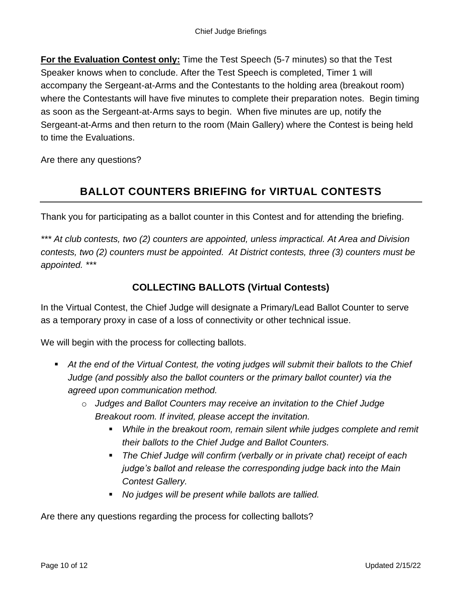**For the Evaluation Contest only:** Time the Test Speech (5-7 minutes) so that the Test Speaker knows when to conclude. After the Test Speech is completed, Timer 1 will accompany the Sergeant-at-Arms and the Contestants to the holding area (breakout room) where the Contestants will have five minutes to complete their preparation notes. Begin timing as soon as the Sergeant-at-Arms says to begin. When five minutes are up, notify the Sergeant-at-Arms and then return to the room (Main Gallery) where the Contest is being held to time the Evaluations.

Are there any questions?

# **BALLOT COUNTERS BRIEFING for VIRTUAL CONTESTS**

Thank you for participating as a ballot counter in this Contest and for attending the briefing.

*\*\*\* At club contests, two (2) counters are appointed, unless impractical. At Area and Division contests, two (2) counters must be appointed. At District contests, three (3) counters must be appointed. \*\*\**

#### **COLLECTING BALLOTS (Virtual Contests)**

In the Virtual Contest, the Chief Judge will designate a Primary/Lead Ballot Counter to serve as a temporary proxy in case of a loss of connectivity or other technical issue.

We will begin with the process for collecting ballots.

- At the end of the Virtual Contest, the voting judges will submit their ballots to the Chief *Judge (and possibly also the ballot counters or the primary ballot counter) via the agreed upon communication method.*
	- o *Judges and Ballot Counters may receive an invitation to the Chief Judge Breakout room. If invited, please accept the invitation.*
		- *While in the breakout room, remain silent while judges complete and remit their ballots to the Chief Judge and Ballot Counters.*
		- *The Chief Judge will confirm (verbally or in private chat) receipt of each judge's ballot and release the corresponding judge back into the Main Contest Gallery.*
		- *No judges will be present while ballots are tallied.*

Are there any questions regarding the process for collecting ballots?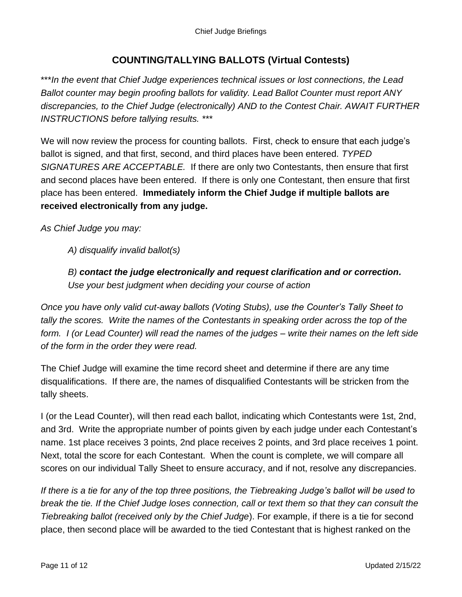#### **COUNTING/TALLYING BALLOTS (Virtual Contests)**

\*\*\**In the event that Chief Judge experiences technical issues or lost connections, the Lead Ballot counter may begin proofing ballots for validity. Lead Ballot Counter must report ANY discrepancies, to the Chief Judge (electronically) AND to the Contest Chair. AWAIT FURTHER INSTRUCTIONS before tallying results. \*\*\**

We will now review the process for counting ballots. First, check to ensure that each judge's ballot is signed, and that first, second, and third places have been entered*. TYPED SIGNATURES ARE ACCEPTABLE.* If there are only two Contestants, then ensure that first and second places have been entered. If there is only one Contestant, then ensure that first place has been entered. **Immediately inform the Chief Judge if multiple ballots are received electronically from any judge.**

*As Chief Judge you may:*

*A) disqualify invalid ballot(s)*

*B) contact the judge electronically and request clarification and or correction. Use your best judgment when deciding your course of action*

*Once you have only valid cut-away ballots (Voting Stubs), use the Counter's Tally Sheet to tally the scores. Write the names of the Contestants in speaking order across the top of the form. I (or Lead Counter) will read the names of the judges – write their names on the left side of the form in the order they were read.*

The Chief Judge will examine the time record sheet and determine if there are any time disqualifications. If there are, the names of disqualified Contestants will be stricken from the tally sheets.

I (or the Lead Counter), will then read each ballot, indicating which Contestants were 1st, 2nd, and 3rd. Write the appropriate number of points given by each judge under each Contestant's name. 1st place receives 3 points, 2nd place receives 2 points, and 3rd place receives 1 point. Next, total the score for each Contestant. When the count is complete, we will compare all scores on our individual Tally Sheet to ensure accuracy, and if not, resolve any discrepancies.

*If there is a tie for any of the top three positions, the Tiebreaking Judge's ballot will be used to break the tie. If the Chief Judge loses connection, call or text them so that they can consult the Tiebreaking ballot (received only by the Chief Judge*). For example, if there is a tie for second place, then second place will be awarded to the tied Contestant that is highest ranked on the